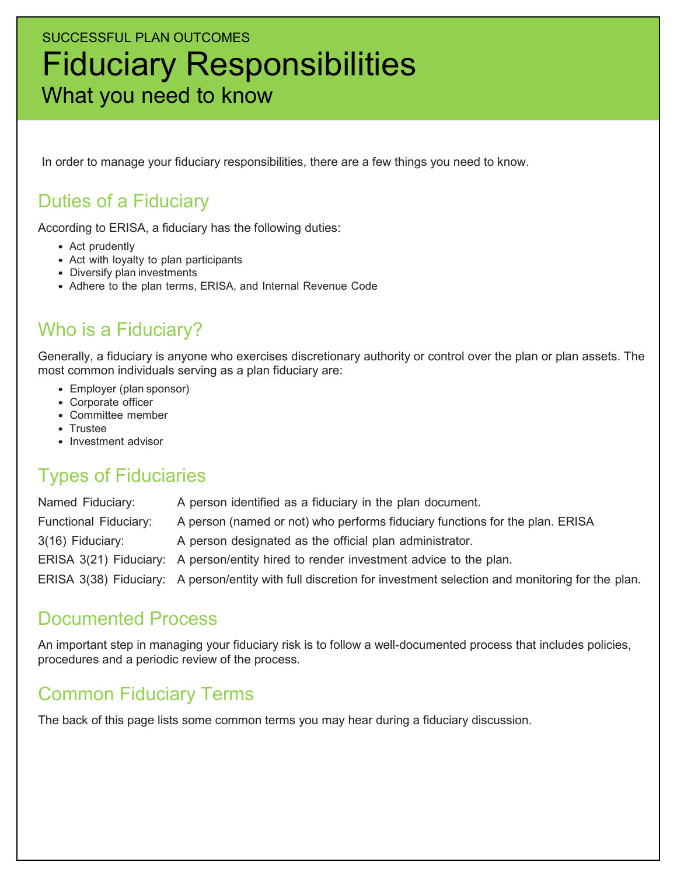# SUCCESSFUL PLAN OUTCOMES Fiduciary Responsibilities What you need to know

In order to manage your fiduciary responsibilities, there are a few things you need to know.

### Duties of a Fiduciary

According to ERISA, a fiduciary has the following duties:

- Act prudently
- Act with loyalty to plan participants
- Diversify plan investments
- Adhere to the plan terms, ERISA, and Internal Revenue Code

### Who is a Fiduciary?

Generally, a fiduciary is anyone who exercises discretionary authority or control over the plan or plan assets. The most common individuals serving as a plan fiduciary are:

- Employer (plan sponsor)
- Corporate officer
- Committee member
- Trustee
- Investment advisor

### Types of Fiduciaries

Named Fiduciary: A person identified as a fiduciary in the plan document. Functional Fiduciary: A person (named or not) who performs fiduciary functions for the plan. ERISA 3(16) Fiduciary: A person designated as the official plan administrator. ERISA 3(21) Fiduciary: A person/entity hired to render investment advice to the plan. ERISA 3(38) Fiduciary: A person/entity with full discretion for investment selection and monitoring for the plan.

#### Documented Process

An important step in managing your fiduciary risk is to follow a well-documented process that includes policies, procedures and a periodic review of the process.

## Common Fiduciary Terms

The back of this page lists some common terms you may hear during a fiduciary discussion.